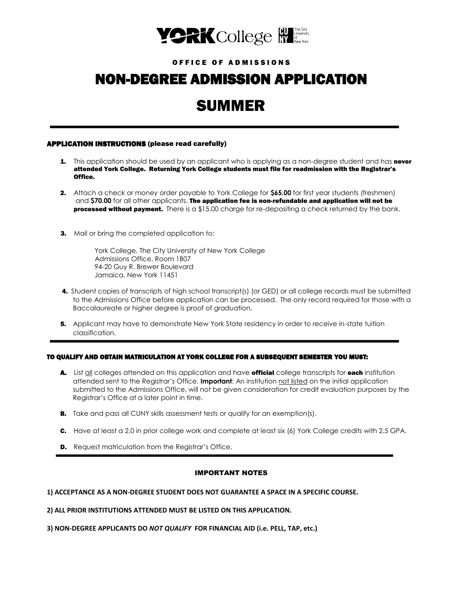

## O F FI C E O F A D M I S S I O N S

# NON-DEGREE ADMISSION APPLICATION

# SUMMER

## APPLICATION INSTRUCTIONS (please read carefully)

- **1.** This application should be used by an applicant who is applying as a non-degree student and has **never** attended York College. Returning York College students must file for readmission with the Registrar's Office.
- 2. Attach a check or money order payable to York College for **\$65.00** for first year students (freshmen) and **\$70.00** for all other applicants. The application fee is non-refundable and application will not be processed without payment. There is a \$15.00 charge for re-depositing a check returned by the bank.
- **3.** Mail or bring the completed application to:

 York College, The City University of New York College Admissions Office, Room 1B07 94-20 Guy R. Brewer Boulevard Jamaica, New York 11451

- 4. Student copies of transcripts of high school transcript(s) (or GED) or all college records must be submitted to the Admissions Office before application can be processed. The only record required for those with a Baccalaureate or higher degree is proof of graduation.
- **5.** Applicant may have to demonstrate New York State residency in order to receive in-state tuition classification.

### TO QUALIFY AND OBTAIN MATRICULATION AT YORK COLLEGE FOR A SUBSEQUENT SEMESTER YOU MUST:

- A. List **all colleges attended on this application and have official college transcripts for each institution**  attended sent to the Registrar's Office. **Important**: An institution not listed on the initial application submitted to the Admissions Office, will not be given consideration for credit evaluation purposes by the Registrar's Office at a later point in time.
- **B.** Take and pass all CUNY skills assessment tests or qualify for an exemption(s).
- C. Have at least a 2.0 in prior college work and complete at least six (6) York College credits with 2.5 GPA.
- **D.** Request matriculation from the Registrar's Office.

## IMPORTANT NOTES

## **1) ACCEPTANCE AS A NON-DEGREE STUDENT DOES NOT GUARANTEE A SPACE IN A SPECIFIC COURSE.**

**2) ALL PRIOR INSTITUTIONS ATTENDED MUST BE LISTED ON THIS APPLICATION.**

**3) NON-DEGREE APPLICANTS DO** *NOT QUALIFY* **FOR FINANCIAL AID (i.e. PELL, TAP, etc.)**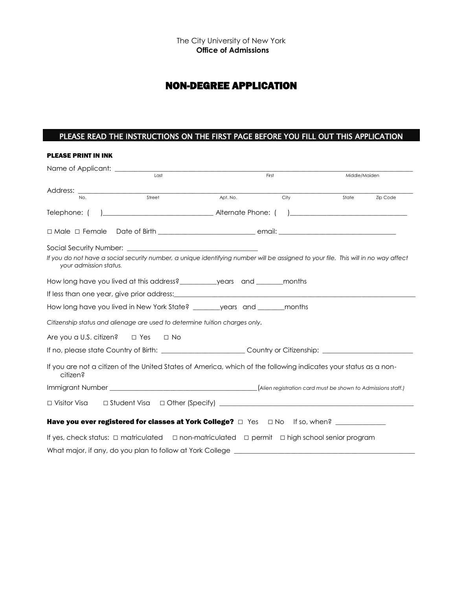## NON-DEGREE APPLICATION

## PLEASE READ THE INSTRUCTIONS ON THE FIRST PAGE BEFORE YOU FILL OUT THIS APPLICATION

| <b>PLEASE PRINT IN INK</b>                                                                                        |        |          |      |                                                                                                                                    |  |
|-------------------------------------------------------------------------------------------------------------------|--------|----------|------|------------------------------------------------------------------------------------------------------------------------------------|--|
|                                                                                                                   | First  |          |      | Middle/Maiden                                                                                                                      |  |
| No.                                                                                                               | Street | Apt. No. | City | State Zip Code                                                                                                                     |  |
| Telephone: (                                                                                                      |        |          |      |                                                                                                                                    |  |
|                                                                                                                   |        |          |      |                                                                                                                                    |  |
|                                                                                                                   |        |          |      |                                                                                                                                    |  |
| your admission status.                                                                                            |        |          |      | If you do not have a social security number, a unique identifying number will be assigned to your file. This will in no way affect |  |
| How long have you lived at this address?____________years and _________ months                                    |        |          |      |                                                                                                                                    |  |
|                                                                                                                   |        |          |      |                                                                                                                                    |  |
| How long have you lived in New York State? _______ years and ______ months                                        |        |          |      |                                                                                                                                    |  |
| Citizenship status and alienage are used to determine tuition charges only.                                       |        |          |      |                                                                                                                                    |  |
| Are you a U.S. citizen? $\Box$ Yes $\Box$ No                                                                      |        |          |      |                                                                                                                                    |  |
| If no, please state Country of Birth: ___________________________Country or Citizenship: _____________________    |        |          |      |                                                                                                                                    |  |
| citizen?                                                                                                          |        |          |      | If you are not a citizen of the United States of America, which of the following indicates your status as a non-                   |  |
|                                                                                                                   |        |          |      |                                                                                                                                    |  |
|                                                                                                                   |        |          |      |                                                                                                                                    |  |
| Have you ever registered for classes at York College? $\Box$ Yes $\Box$ No If so, when? _______________           |        |          |      |                                                                                                                                    |  |
| If yes, check status: $\Box$ matriculated $\Box$ non-matriculated $\Box$ permit $\Box$ high school senior program |        |          |      |                                                                                                                                    |  |
| What major, if any, do you plan to follow at York College ______________________                                  |        |          |      |                                                                                                                                    |  |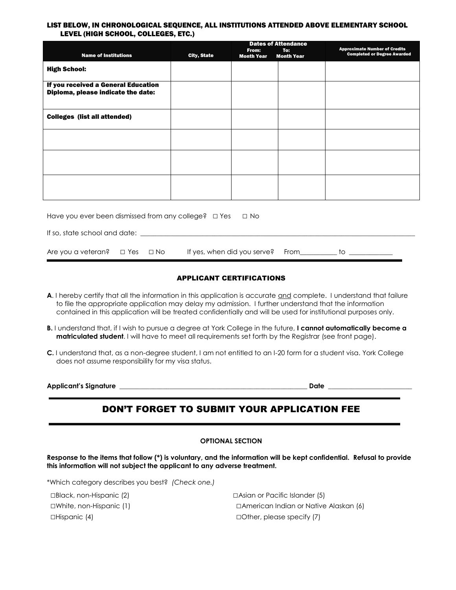### LIST BELOW, IN CHRONOLOGICAL SEQUENCE, ALL INSTITUTIONS ATTENDED ABOVE ELEMENTARY SCHOOL LEVEL (HIGH SCHOOL, COLLEGES, ETC.)

|                                                                                                      |                    | <b>Dates of Attendance</b> |                   |                                                                            |  |  |  |
|------------------------------------------------------------------------------------------------------|--------------------|----------------------------|-------------------|----------------------------------------------------------------------------|--|--|--|
| <b>Name of Institutions</b>                                                                          |                    | From:                      | To:               | <b>Approximate Number of Credits</b><br><b>Completed or Degree Awarded</b> |  |  |  |
|                                                                                                      | <b>City, State</b> | <b>Month Year</b>          | <b>Month Year</b> |                                                                            |  |  |  |
| <b>High School:</b>                                                                                  |                    |                            |                   |                                                                            |  |  |  |
| If you received a General Education<br>Diploma, please indicate the date:                            |                    |                            |                   |                                                                            |  |  |  |
| <b>Colleges (list all attended)</b>                                                                  |                    |                            |                   |                                                                            |  |  |  |
|                                                                                                      |                    |                            |                   |                                                                            |  |  |  |
|                                                                                                      |                    |                            |                   |                                                                            |  |  |  |
|                                                                                                      |                    |                            |                   |                                                                            |  |  |  |
| Have you ever been dismissed from any college? $\Box$ Yes $\Box$ No<br>If so, state school and date: |                    |                            |                   |                                                                            |  |  |  |
|                                                                                                      |                    |                            |                   |                                                                            |  |  |  |

Are you a veteran? □ Yes □ No If yes, when did you serve? From\_\_\_\_\_\_\_\_\_\_ to \_\_\_\_

## APPLICANT CERTIFICATIONS

- A. I hereby certify that all the information in this application is accurate and complete. I understand that failure to file the appropriate application may delay my admission. I further understand that the information contained in this application will be treated confidentially and will be used for institutional purposes only.
- **B.** I understand that, if I wish to pursue a degree at York College in the future, **I cannot automatically become a matriculated student**. I will have to meet all requirements set forth by the Registrar (see front page).
- **C.** I understand that, as a non-degree student, I am not entitled to an I-20 form for a student visa. York College does not assume responsibility for my visa status.

**Applicant's Signature \_\_\_\_\_\_\_\_\_\_\_\_\_\_\_\_\_\_\_\_\_\_\_\_\_\_\_\_\_\_\_\_\_\_\_\_\_\_\_\_\_\_\_\_\_\_\_\_\_\_\_\_\_\_\_\_ Date \_\_\_\_\_\_\_\_\_\_\_\_\_\_\_\_\_\_\_\_\_\_\_\_\_**

## DON'T FORGET TO SUBMIT YOUR APPLICATION FEE

### **OPTIONAL SECTION**

**Response to the items that follow (\*) is voluntary, and the information will be kept confidential. Refusal to provide this information will not subject the applicant to any adverse treatment.**

\*Which category describes you best? *(Check one.)*

□Black, non-Hispanic (2) □Asian or Pacific Islander (5) □White, non-Hispanic (1) □American Indian or Native Alaskan (6) □Hispanic (4) □Other, please specify (7)